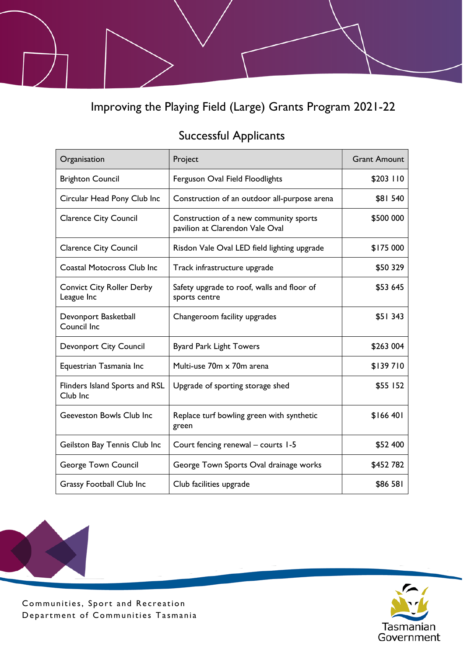Improving the Playing Field (Large) Grants Program 2021-22

## Successful Applicants

| Organisation                                   | Project                                                                   | <b>Grant Amount</b> |
|------------------------------------------------|---------------------------------------------------------------------------|---------------------|
| <b>Brighton Council</b>                        | Ferguson Oval Field Floodlights                                           | \$203 110           |
| Circular Head Pony Club Inc                    | Construction of an outdoor all-purpose arena                              | \$81 540            |
| <b>Clarence City Council</b>                   | Construction of a new community sports<br>pavilion at Clarendon Vale Oval | \$500 000           |
| <b>Clarence City Council</b>                   | Risdon Vale Oval LED field lighting upgrade                               | \$175 000           |
| <b>Coastal Motocross Club Inc</b>              | Track infrastructure upgrade                                              | \$50 329            |
| <b>Convict City Roller Derby</b><br>League Inc | Safety upgrade to roof, walls and floor of<br>sports centre               | \$53 645            |
| Devonport Basketball<br>Council Inc            | Changeroom facility upgrades                                              | \$51 343            |
| <b>Devonport City Council</b>                  | <b>Byard Park Light Towers</b>                                            | \$263 004           |
| Equestrian Tasmania Inc                        | Multi-use 70m x 70m arena                                                 | \$139710            |
| Flinders Island Sports and RSL<br>Club Inc     | Upgrade of sporting storage shed                                          | \$55 152            |
| <b>Geeveston Bowls Club Inc</b>                | Replace turf bowling green with synthetic<br>green                        | \$166 401           |
| Geilston Bay Tennis Club Inc                   | Court fencing renewal - courts 1-5                                        | \$52 400            |
| <b>George Town Council</b>                     | George Town Sports Oval drainage works                                    | \$452 782           |
| <b>Grassy Football Club Inc</b>                | Club facilities upgrade                                                   | \$86 581            |



Communities, Sport and Recreation Department of Communities Tasmania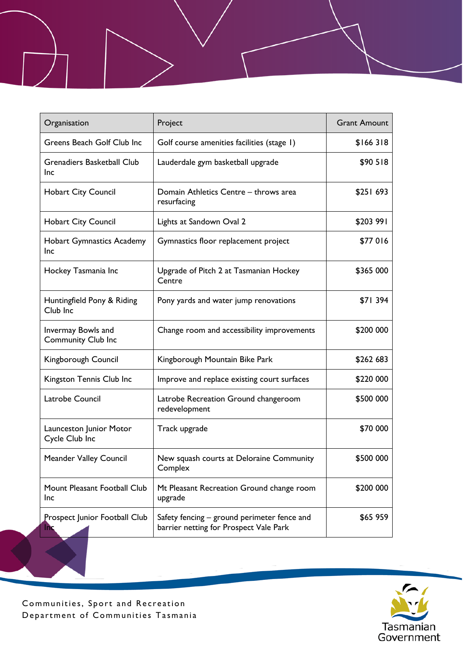| Organisation                                    | Project                                                                               | <b>Grant Amount</b> |
|-------------------------------------------------|---------------------------------------------------------------------------------------|---------------------|
| Greens Beach Golf Club Inc                      | Golf course amenities facilities (stage 1)                                            | \$166318            |
| <b>Grenadiers Basketball Club</b><br>Inc        | Lauderdale gym basketball upgrade                                                     | \$90 518            |
| <b>Hobart City Council</b>                      | Domain Athletics Centre - throws area<br>resurfacing                                  | \$251 693           |
| <b>Hobart City Council</b>                      | Lights at Sandown Oval 2                                                              | \$203 991           |
| <b>Hobart Gymnastics Academy</b><br><b>Inc</b>  | Gymnastics floor replacement project                                                  | \$77016             |
| Hockey Tasmania Inc                             | Upgrade of Pitch 2 at Tasmanian Hockey<br>Centre                                      | \$365 000           |
| Huntingfield Pony & Riding<br>Club Inc          | Pony yards and water jump renovations                                                 | \$71 394            |
| Invermay Bowls and<br><b>Community Club Inc</b> | Change room and accessibility improvements                                            | \$200 000           |
| Kingborough Council                             | Kingborough Mountain Bike Park                                                        | \$262 683           |
| Kingston Tennis Club Inc                        | Improve and replace existing court surfaces                                           | \$220 000           |
| Latrobe Council                                 | Latrobe Recreation Ground changeroom<br>redevelopment                                 | \$500 000           |
| Launceston Junior Motor<br>Cycle Club Inc       | Track upgrade                                                                         | \$70 000            |
| <b>Meander Valley Council</b>                   | New squash courts at Deloraine Community<br>Complex                                   | \$500 000           |
| Mount Pleasant Football Club<br><b>Inc</b>      | Mt Pleasant Recreation Ground change room<br>upgrade                                  | \$200 000           |
| Prospect Junior Football Club<br><b>Inc</b>     | Safety fencing - ground perimeter fence and<br>barrier netting for Prospect Vale Park | \$65 959            |